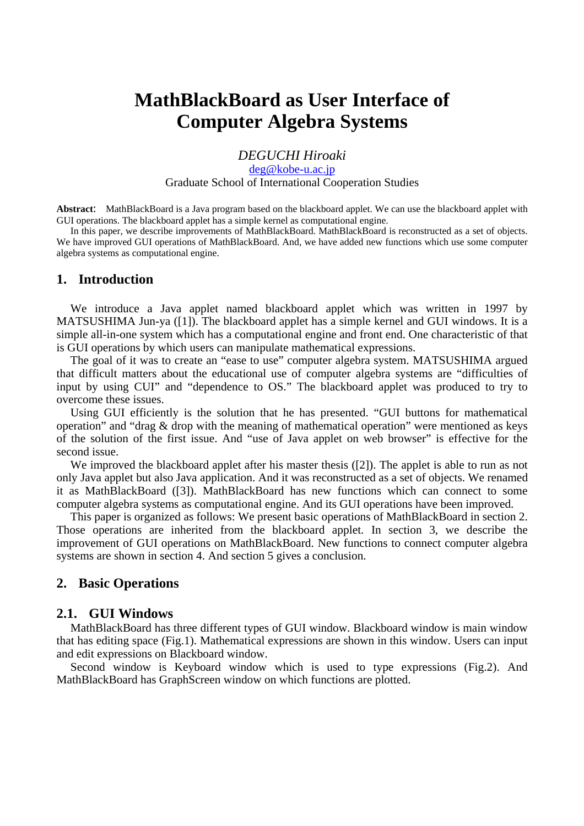# **MathBlackBoard as User Interface of Computer Algebra Systems**

*DEGUCHI Hiroaki* 

deg@kobe-u.ac.jp

Graduate School of International Cooperation Studies

**Abstract**: MathBlackBoard is a Java program based on the blackboard applet. We can use the blackboard applet with GUI operations. The blackboard applet has a simple kernel as computational engine.

In this paper, we describe improvements of MathBlackBoard. MathBlackBoard is reconstructed as a set of objects. We have improved GUI operations of MathBlackBoard. And, we have added new functions which use some computer algebra systems as computational engine.

### **1. Introduction**

We introduce a Java applet named blackboard applet which was written in 1997 by MATSUSHIMA Jun-ya ([1]). The blackboard applet has a simple kernel and GUI windows. It is a simple all-in-one system which has a computational engine and front end. One characteristic of that is GUI operations by which users can manipulate mathematical expressions.

The goal of it was to create an "ease to use" computer algebra system. MATSUSHIMA argued that difficult matters about the educational use of computer algebra systems are "difficulties of input by using CUI" and "dependence to OS." The blackboard applet was produced to try to overcome these issues.

Using GUI efficiently is the solution that he has presented. "GUI buttons for mathematical operation" and "drag & drop with the meaning of mathematical operation" were mentioned as keys of the solution of the first issue. And "use of Java applet on web browser" is effective for the second issue.

We improved the blackboard applet after his master thesis ([2]). The applet is able to run as not only Java applet but also Java application. And it was reconstructed as a set of objects. We renamed it as MathBlackBoard ([3]). MathBlackBoard has new functions which can connect to some computer algebra systems as computational engine. And its GUI operations have been improved.

This paper is organized as follows: We present basic operations of MathBlackBoard in section 2. Those operations are inherited from the blackboard applet. In section 3, we describe the improvement of GUI operations on MathBlackBoard. New functions to connect computer algebra systems are shown in section 4. And section 5 gives a conclusion.

## **2. Basic Operations**

### **2.1. GUI Windows**

MathBlackBoard has three different types of GUI window. Blackboard window is main window that has editing space (Fig.1). Mathematical expressions are shown in this window. Users can input and edit expressions on Blackboard window.

Second window is Keyboard window which is used to type expressions (Fig.2). And MathBlackBoard has GraphScreen window on which functions are plotted.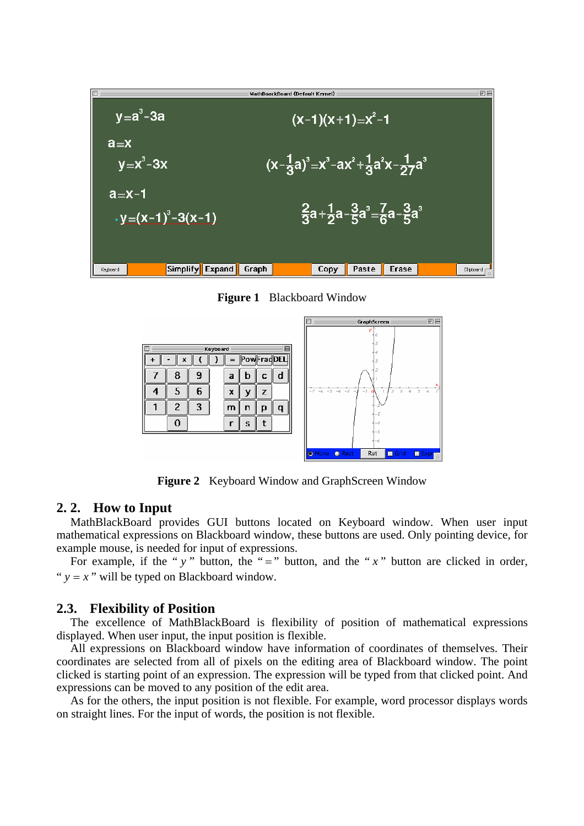

**Figure 1** Blackboard Window



**Figure 2** Keyboard Window and GraphScreen Window

### **2. 2. How to Input**

MathBlackBoard provides GUI buttons located on Keyboard window. When user input mathematical expressions on Blackboard window, these buttons are used. Only pointing device, for example mouse, is needed for input of expressions.

For example, if the " $y$ " button, the "=" button, and the " $x$ " button are clicked in order, " $v = x$ " will be typed on Blackboard window.

### **2.3. Flexibility of Position**

The excellence of MathBlackBoard is flexibility of position of mathematical expressions displayed. When user input, the input position is flexible.

All expressions on Blackboard window have information of coordinates of themselves. Their coordinates are selected from all of pixels on the editing area of Blackboard window. The point clicked is starting point of an expression. The expression will be typed from that clicked point. And expressions can be moved to any position of the edit area.

As for the others, the input position is not flexible. For example, word processor displays words on straight lines. For the input of words, the position is not flexible.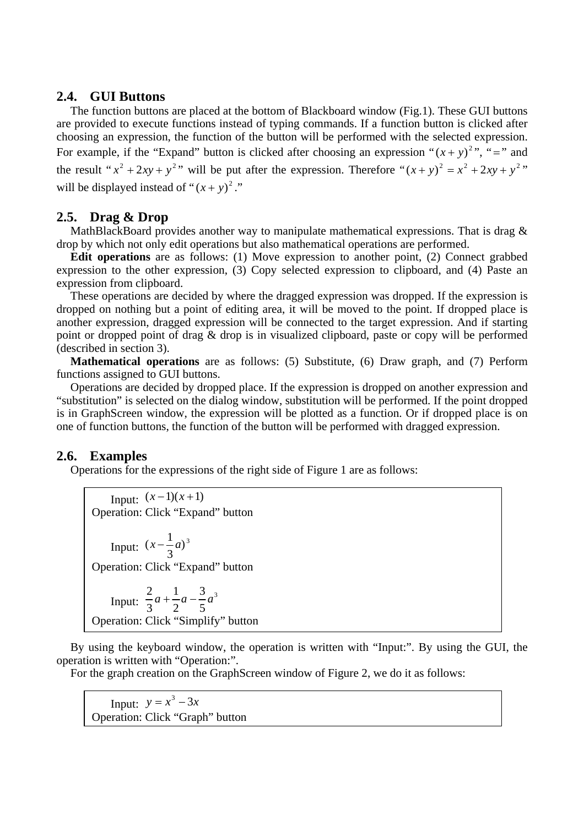## **2.4. GUI Buttons**

The function buttons are placed at the bottom of Blackboard window (Fig.1). These GUI buttons are provided to execute functions instead of typing commands. If a function button is clicked after choosing an expression, the function of the button will be performed with the selected expression. For example, if the "Expand" button is clicked after choosing an expression " $(x + y)^2$ ", "=" and the result " $x^2 + 2xy + y^2$ " will be put after the expression. Therefore " $(x + y)^2 = x^2 + 2xy + y^2$ " will be displayed instead of " $(x + y)^2$ ."

# **2.5. Drag & Drop**

MathBlackBoard provides another way to manipulate mathematical expressions. That is drag & drop by which not only edit operations but also mathematical operations are performed.

**Edit operations** are as follows: (1) Move expression to another point, (2) Connect grabbed expression to the other expression, (3) Copy selected expression to clipboard, and (4) Paste an expression from clipboard.

These operations are decided by where the dragged expression was dropped. If the expression is dropped on nothing but a point of editing area, it will be moved to the point. If dropped place is another expression, dragged expression will be connected to the target expression. And if starting point or dropped point of drag & drop is in visualized clipboard, paste or copy will be performed (described in section 3).

**Mathematical operations** are as follows: (5) Substitute, (6) Draw graph, and (7) Perform functions assigned to GUI buttons.

Operations are decided by dropped place. If the expression is dropped on another expression and "substitution" is selected on the dialog window, substitution will be performed. If the point dropped is in GraphScreen window, the expression will be plotted as a function. Or if dropped place is on one of function buttons, the function of the button will be performed with dragged expression.

# **2.6. Examples**

Operations for the expressions of the right side of Figure 1 are as follows:

Input:  $(x-1)(x+1)$ Operation: Click "Expand" button Input:  $(x - \frac{1}{3}a)^3$ Operation: Click "Expand" button Input:  $\frac{2}{3}a + \frac{1}{2}a - \frac{3}{5}a^3$ 5 3 2 1 3  $\frac{2}{a}a + \frac{1}{a}a - \frac{3}{a}a$ Operation: Click "Simplify" button

By using the keyboard window, the operation is written with "Input:". By using the GUI, the operation is written with "Operation:".

For the graph creation on the GraphScreen window of Figure 2, we do it as follows:

Input:  $y = x^3 - 3x$ Operation: Click "Graph" button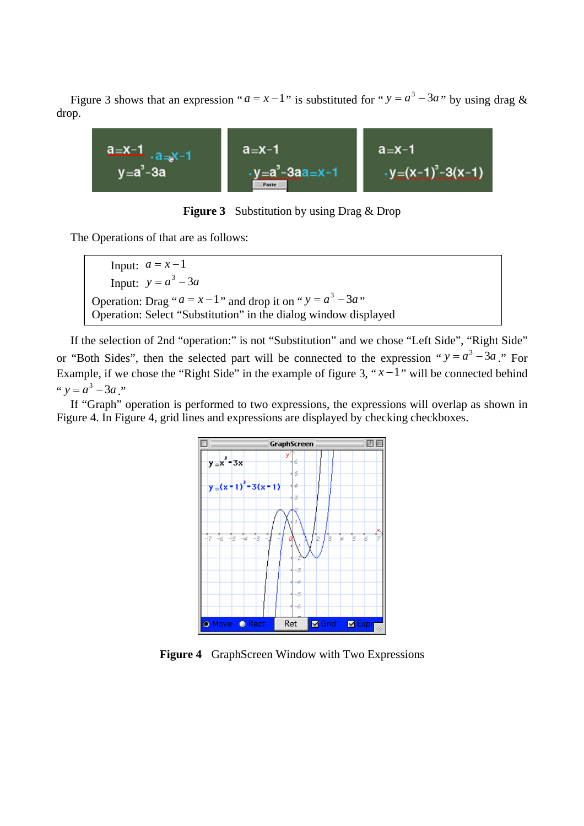Figure 3 shows that an expression " $a = x - 1$ " is substituted for " $y = a^3 - 3a$ " by using drag & drop.



**Figure 3** Substitution by using Drag & Drop

The Operations of that are as follows:

Input:  $a = x-1$ Input:  $y = a^3 - 3a$ Operation: Drag " $a = x - 1$ " and drop it on " $y = a^3 - 3a$ " Operation: Select "Substitution" in the dialog window displayed

If the selection of 2nd "operation:" is not "Substitution" and we chose "Left Side", "Right Side" or "Both Sides", then the selected part will be connected to the expression " $y = a^3 - 3a$ ". For Example, if we chose the "Right Side" in the example of figure 3, " $x-1$ " will be connected behind "  $y = a^3 - 3a$  "

If "Graph" operation is performed to two expressions, the expressions will overlap as shown in Figure 4. In Figure 4, grid lines and expressions are displayed by checking checkboxes.



**Figure 4** GraphScreen Window with Two Expressions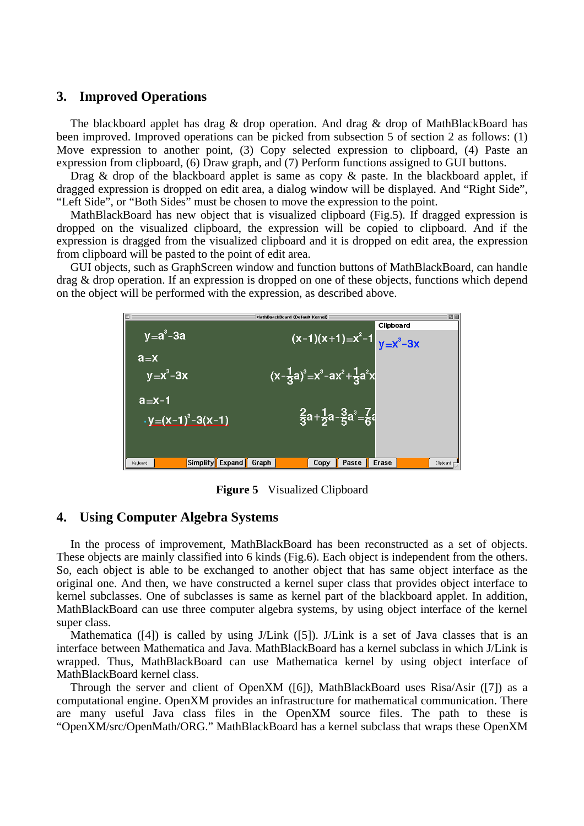### **3. Improved Operations**

The blackboard applet has drag & drop operation. And drag & drop of MathBlackBoard has been improved. Improved operations can be picked from subsection 5 of section 2 as follows: (1) Move expression to another point, (3) Copy selected expression to clipboard, (4) Paste an expression from clipboard, (6) Draw graph, and (7) Perform functions assigned to GUI buttons.

Drag & drop of the blackboard applet is same as copy & paste. In the blackboard applet, if dragged expression is dropped on edit area, a dialog window will be displayed. And "Right Side", "Left Side", or "Both Sides" must be chosen to move the expression to the point.

MathBlackBoard has new object that is visualized clipboard (Fig.5). If dragged expression is dropped on the visualized clipboard, the expression will be copied to clipboard. And if the expression is dragged from the visualized clipboard and it is dropped on edit area, the expression from clipboard will be pasted to the point of edit area.

GUI objects, such as GraphScreen window and function buttons of MathBlackBoard, can handle drag & drop operation. If an expression is dropped on one of these objects, functions which depend on the object will be performed with the expression, as described above.



**Figure 5** Visualized Clipboard

#### **4. Using Computer Algebra Systems**

In the process of improvement, MathBlackBoard has been reconstructed as a set of objects. These objects are mainly classified into 6 kinds (Fig.6). Each object is independent from the others. So, each object is able to be exchanged to another object that has same object interface as the original one. And then, we have constructed a kernel super class that provides object interface to kernel subclasses. One of subclasses is same as kernel part of the blackboard applet. In addition, MathBlackBoard can use three computer algebra systems, by using object interface of the kernel super class.

Mathematica  $([4])$  is called by using J/Link  $([5])$ . J/Link is a set of Java classes that is an interface between Mathematica and Java. MathBlackBoard has a kernel subclass in which J/Link is wrapped. Thus, MathBlackBoard can use Mathematica kernel by using object interface of MathBlackBoard kernel class.

Through the server and client of OpenXM ([6]), MathBlackBoard uses Risa/Asir ([7]) as a computational engine. OpenXM provides an infrastructure for mathematical communication. There are many useful Java class files in the OpenXM source files. The path to these is "OpenXM/src/OpenMath/ORG." MathBlackBoard has a kernel subclass that wraps these OpenXM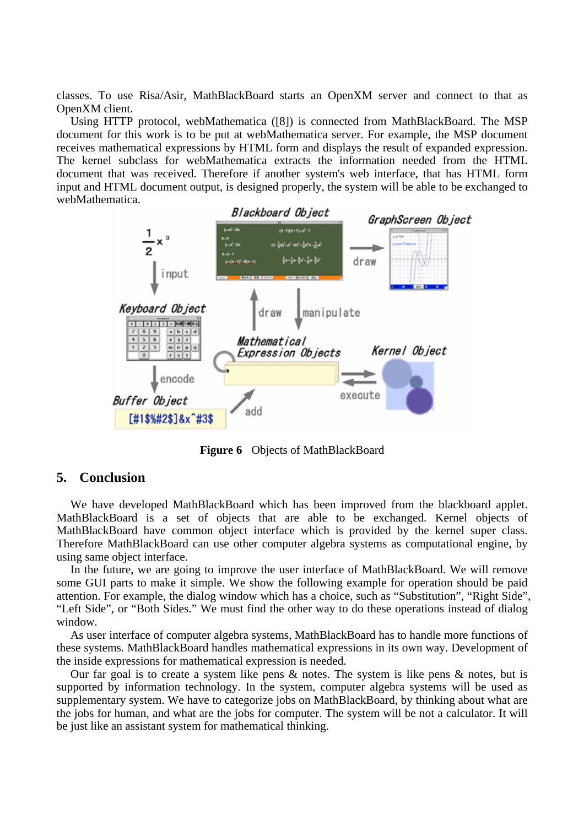classes. To use Risa/Asir, MathBlackBoard starts an OpenXM server and connect to that as OpenXM client.

Using HTTP protocol, webMathematica ([8]) is connected from MathBlackBoard. The MSP document for this work is to be put at webMathematica server. For example, the MSP document receives mathematical expressions by HTML form and displays the result of expanded expression. The kernel subclass for webMathematica extracts the information needed from the HTML document that was received. Therefore if another system's web interface, that has HTML form input and HTML document output, is designed properly, the system will be able to be exchanged to webMathematica.



**Figure 6** Objects of MathBlackBoard

## **5. Conclusion**

We have developed MathBlackBoard which has been improved from the blackboard applet. MathBlackBoard is a set of objects that are able to be exchanged. Kernel objects of MathBlackBoard have common object interface which is provided by the kernel super class. Therefore MathBlackBoard can use other computer algebra systems as computational engine, by using same object interface.

In the future, we are going to improve the user interface of MathBlackBoard. We will remove some GUI parts to make it simple. We show the following example for operation should be paid attention. For example, the dialog window which has a choice, such as "Substitution", "Right Side", "Left Side", or "Both Sides." We must find the other way to do these operations instead of dialog window.

As user interface of computer algebra systems, MathBlackBoard has to handle more functions of these systems. MathBlackBoard handles mathematical expressions in its own way. Development of the inside expressions for mathematical expression is needed.

Our far goal is to create a system like pens  $\&$  notes. The system is like pens  $\&$  notes, but is supported by information technology. In the system, computer algebra systems will be used as supplementary system. We have to categorize jobs on MathBlackBoard, by thinking about what are the jobs for human, and what are the jobs for computer. The system will be not a calculator. It will be just like an assistant system for mathematical thinking.